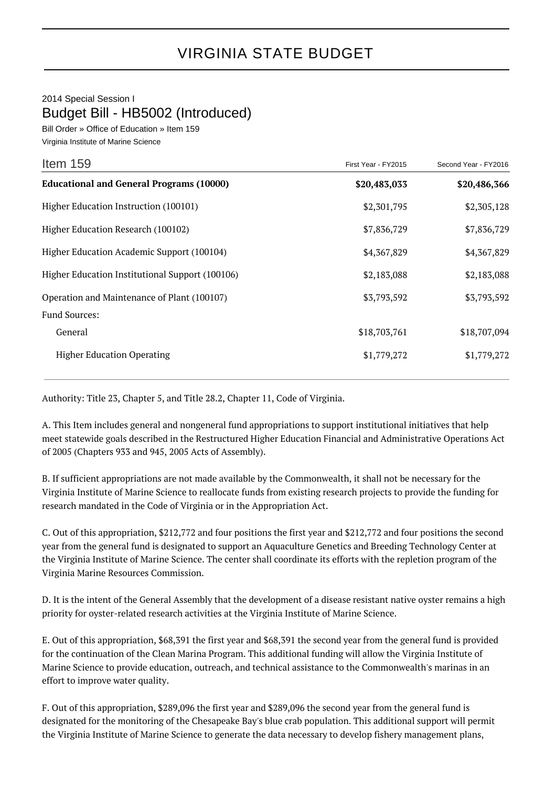## 2014 Special Session I Budget Bill - HB5002 (Introduced)

Bill Order » Office of Education » Item 159 Virginia Institute of Marine Science

| Item 159                                        | First Year - FY2015 | Second Year - FY2016 |
|-------------------------------------------------|---------------------|----------------------|
| <b>Educational and General Programs (10000)</b> | \$20,483,033        | \$20,486,366         |
| Higher Education Instruction (100101)           | \$2,301,795         | \$2,305,128          |
| Higher Education Research (100102)              | \$7,836,729         | \$7,836,729          |
| Higher Education Academic Support (100104)      | \$4,367,829         | \$4,367,829          |
| Higher Education Institutional Support (100106) | \$2,183,088         | \$2,183,088          |
| Operation and Maintenance of Plant (100107)     | \$3,793,592         | \$3,793,592          |
| <b>Fund Sources:</b>                            |                     |                      |
| General                                         | \$18,703,761        | \$18,707,094         |
| <b>Higher Education Operating</b>               | \$1,779,272         | \$1,779,272          |

Authority: Title 23, Chapter 5, and Title 28.2, Chapter 11, Code of Virginia.

A. This Item includes general and nongeneral fund appropriations to support institutional initiatives that help meet statewide goals described in the Restructured Higher Education Financial and Administrative Operations Act of 2005 (Chapters 933 and 945, 2005 Acts of Assembly).

B. If sufficient appropriations are not made available by the Commonwealth, it shall not be necessary for the Virginia Institute of Marine Science to reallocate funds from existing research projects to provide the funding for research mandated in the Code of Virginia or in the Appropriation Act.

C. Out of this appropriation, \$212,772 and four positions the first year and \$212,772 and four positions the second year from the general fund is designated to support an Aquaculture Genetics and Breeding Technology Center at the Virginia Institute of Marine Science. The center shall coordinate its efforts with the repletion program of the Virginia Marine Resources Commission.

D. It is the intent of the General Assembly that the development of a disease resistant native oyster remains a high priority for oyster-related research activities at the Virginia Institute of Marine Science.

E. Out of this appropriation, \$68,391 the first year and \$68,391 the second year from the general fund is provided for the continuation of the Clean Marina Program. This additional funding will allow the Virginia Institute of Marine Science to provide education, outreach, and technical assistance to the Commonwealth's marinas in an effort to improve water quality.

F. Out of this appropriation, \$289,096 the first year and \$289,096 the second year from the general fund is designated for the monitoring of the Chesapeake Bay's blue crab population. This additional support will permit the Virginia Institute of Marine Science to generate the data necessary to develop fishery management plans,